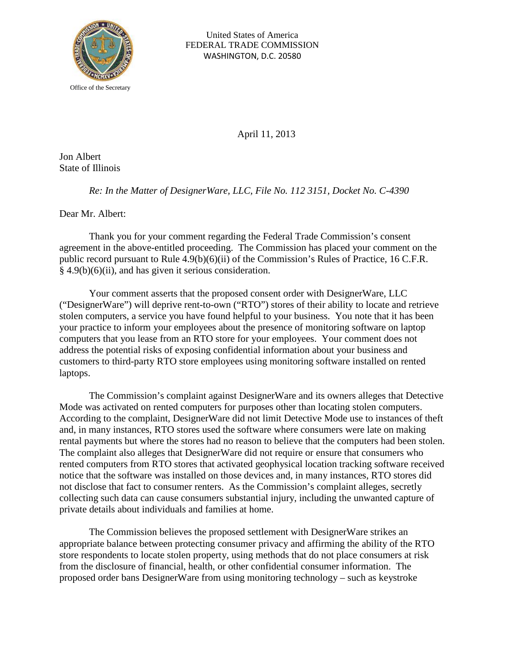

United States of America FEDERAL TRADE COMMISSION WASHINGTON, D.C. 20580

April 11, 2013

Jon Albert State of Illinois

*Re: In the Matter of DesignerWare, LLC, File No. 112 3151, Docket No. C-4390*

Dear Mr. Albert:

Thank you for your comment regarding the Federal Trade Commission's consent agreement in the above-entitled proceeding. The Commission has placed your comment on the public record pursuant to Rule 4.9(b)(6)(ii) of the Commission's Rules of Practice, 16 C.F.R. § 4.9(b)(6)(ii), and has given it serious consideration.

Your comment asserts that the proposed consent order with DesignerWare, LLC ("DesignerWare") will deprive rent-to-own ("RTO") stores of their ability to locate and retrieve stolen computers, a service you have found helpful to your business. You note that it has been your practice to inform your employees about the presence of monitoring software on laptop computers that you lease from an RTO store for your employees. Your comment does not address the potential risks of exposing confidential information about your business and customers to third-party RTO store employees using monitoring software installed on rented laptops.

The Commission's complaint against DesignerWare and its owners alleges that Detective Mode was activated on rented computers for purposes other than locating stolen computers. According to the complaint, DesignerWare did not limit Detective Mode use to instances of theft and, in many instances, RTO stores used the software where consumers were late on making rental payments but where the stores had no reason to believe that the computers had been stolen. The complaint also alleges that DesignerWare did not require or ensure that consumers who rented computers from RTO stores that activated geophysical location tracking software received notice that the software was installed on those devices and, in many instances, RTO stores did not disclose that fact to consumer renters. As the Commission's complaint alleges, secretly collecting such data can cause consumers substantial injury, including the unwanted capture of private details about individuals and families at home.

The Commission believes the proposed settlement with DesignerWare strikes an appropriate balance between protecting consumer privacy and affirming the ability of the RTO store respondents to locate stolen property, using methods that do not place consumers at risk from the disclosure of financial, health, or other confidential consumer information. The proposed order bans DesignerWare from using monitoring technology – such as keystroke